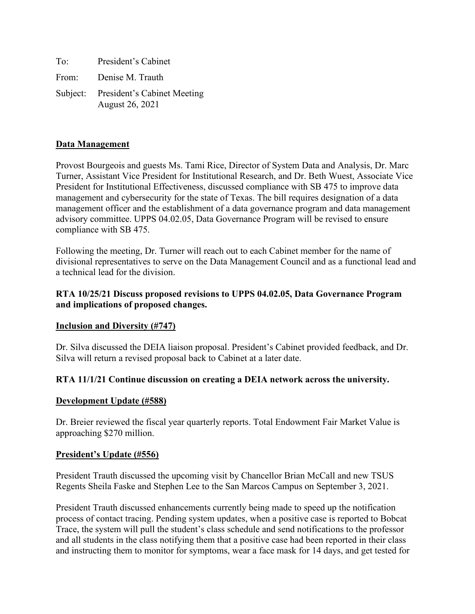| To:   | President's Cabinet                                     |
|-------|---------------------------------------------------------|
| From: | Denise M. Trauth                                        |
|       | Subject: President's Cabinet Meeting<br>August 26, 2021 |

# **Data Management**

Provost Bourgeois and guests Ms. Tami Rice, Director of System Data and Analysis, Dr. Marc Turner, Assistant Vice President for Institutional Research, and Dr. Beth Wuest, Associate Vice President for Institutional Effectiveness, discussed compliance with SB 475 to improve data management and cybersecurity for the state of Texas. The bill requires designation of a data management officer and the establishment of a data governance program and data management advisory committee. UPPS 04.02.05, Data Governance Program will be revised to ensure compliance with SB 475.

Following the meeting, Dr. Turner will reach out to each Cabinet member for the name of divisional representatives to serve on the Data Management Council and as a functional lead and a technical lead for the division.

# **RTA 10/25/21 Discuss proposed revisions to UPPS 04.02.05, Data Governance Program and implications of proposed changes.**

### **Inclusion and Diversity (#747)**

Dr. Silva discussed the DEIA liaison proposal. President's Cabinet provided feedback, and Dr. Silva will return a revised proposal back to Cabinet at a later date.

# **RTA 11/1/21 Continue discussion on creating a DEIA network across the university.**

### **Development Update (#588)**

Dr. Breier reviewed the fiscal year quarterly reports. Total Endowment Fair Market Value is approaching \$270 million.

### **President's Update (#556)**

President Trauth discussed the upcoming visit by Chancellor Brian McCall and new TSUS Regents Sheila Faske and Stephen Lee to the San Marcos Campus on September 3, 2021.

President Trauth discussed enhancements currently being made to speed up the notification process of contact tracing. Pending system updates, when a positive case is reported to Bobcat Trace, the system will pull the student's class schedule and send notifications to the professor and all students in the class notifying them that a positive case had been reported in their class and instructing them to monitor for symptoms, wear a face mask for 14 days, and get tested for